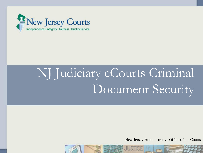

# NJ Judiciary eCourts Criminal Document Security

New Jersey Administrative Office of the Courts

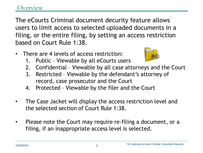## verview

The eCourts Criminal document decurity feature allows users to limit access to selected uploaded documents in a filing, or the entire filing, by setting an access restriction based on Court Rule 1:38.

• There are 4 levels of access restriction:



- 2. Confidential Viewable by all case attorneys and the Court
- 3. Restricted Viewable by the defendant's attorney of record, case prosecutor and the Court
- 4. Protected Viewable by the filer and the Court
- The Case Jacket will display the access restriction level and the selected section of Court Rule 1:38.
- Please note the Court may require re-filing a document, or a filing, if an inappropriate access level is selected.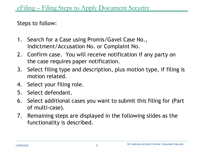Steps to follow:

- 1. Search for a Case using Promis/Gavel Case No., Indictment/Accusation No. or Complaint No.
- 2. Confirm case. You will receive notification if any party on the case requires paper notification.
- 3. Select filing type and description, plus motion type, if filing is motion related.
- 4. Select your filing role.
- 5. Select defendant.
- 6. Select additional cases you want to submit this filing for (Part of multi-case).
- 7. Remaining steps are displayed in the following slides as the functionality is described.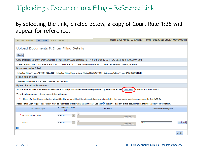# Uploading a Document to a Filing – Reference Link

#### By selecting the link, circled below, a copy of Court Rule 1:38 will appear for reference.

| <b>eFILING</b><br><b>CASE JACKET</b><br><b>eCOURTS HOME</b>                                                                                                            |                                                                                                                                                                 |        | User: 036871988, J. CARTER Firm: PUBLIC DEFENDER MONMOUTH |        |
|------------------------------------------------------------------------------------------------------------------------------------------------------------------------|-----------------------------------------------------------------------------------------------------------------------------------------------------------------|--------|-----------------------------------------------------------|--------|
|                                                                                                                                                                        |                                                                                                                                                                 |        |                                                           |        |
| Upload Documents & Enter Filing Details                                                                                                                                |                                                                                                                                                                 |        |                                                           |        |
|                                                                                                                                                                        |                                                                                                                                                                 |        |                                                           |        |
| <b>Back</b>                                                                                                                                                            |                                                                                                                                                                 |        |                                                           |        |
| Case Details: County: MONMOUTH   Indictment/Accusation No.: 14-03-00582-A   P/G Case #: 14000249-001                                                                   |                                                                                                                                                                 |        |                                                           |        |
| Case Caption: STATE OF NEW JERSEY VS LEE JAMES, ET AL Case Initiation Date: 01/17/2014 Prosecutor: JONES, DONALD                                                       |                                                                                                                                                                 |        |                                                           |        |
| <b>Document to be Filed</b>                                                                                                                                            |                                                                                                                                                                 |        |                                                           |        |
| Selected Filing Type: MOTION RELATED Selected Filing Description: FILE A NEW MOTION Selected Motion Type: BAIL REDUCTION                                               |                                                                                                                                                                 |        |                                                           |        |
| <b>Filing Role in Case</b>                                                                                                                                             |                                                                                                                                                                 |        |                                                           |        |
| Selected Filing Role in the Case: DEFENSE ATTY/DFNT                                                                                                                    |                                                                                                                                                                 |        |                                                           |        |
| <b>Upload Required Documents</b>                                                                                                                                       |                                                                                                                                                                 |        |                                                           |        |
| All documents are considered to be availabe to the public unless otherwise provided by Rule 1:38 et. se . Click here for additional information.                       |                                                                                                                                                                 |        |                                                           |        |
| To upload documents please accept the following:                                                                                                                       |                                                                                                                                                                 |        |                                                           |        |
|                                                                                                                                                                        | * [138-7] Certify that I have redacted all confidential personal identifiers from all documents included in this electronic submission pursuant to Rule 1:38-7. |        |                                                           |        |
|                                                                                                                                                                        |                                                                                                                                                                 |        |                                                           |        |
| Please Note: Each required document must be submitted as individual attachments. Use the $\bullet$ button to add any extra documents and their respective information. |                                                                                                                                                                 |        |                                                           |        |
| <b>Access Restriction</b><br><b>Document Type</b><br>(?):                                                                                                              | <b>File Name</b>                                                                                                                                                |        | <b>Document Description</b>                               |        |
| <b>PUBLIC</b>                                                                                                                                                          | <b>Septim</b><br>$\overline{\mathbf{v}}$                                                                                                                        |        |                                                           |        |
| * NOTICE OF MOTION                                                                                                                                                     |                                                                                                                                                                 | Browse |                                                           |        |
| <b>PUBLIC</b><br><b>BRIEF</b>                                                                                                                                          | <b>Band</b><br>$\ddot{\phantom{1}}$                                                                                                                             |        | <b>BRIEF</b>                                              | Upload |
|                                                                                                                                                                        |                                                                                                                                                                 | Browse |                                                           |        |
| ◒                                                                                                                                                                      |                                                                                                                                                                 |        |                                                           |        |
|                                                                                                                                                                        |                                                                                                                                                                 |        |                                                           | Back   |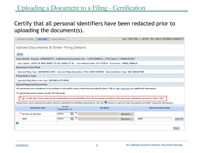# Uploading a Document to a Filing - Certification

### Certify that all personal identifiers have been redacted prior to uploading the document(s).

| <b>eCOURTS HOME</b><br><b>eFILING</b>                                                                                                                                  | <b>CASE JACKET</b>                       |                  |        | User: 036871988, J. CARTER Firm: PUBLIC DEFENDER MONMOUTH |             |
|------------------------------------------------------------------------------------------------------------------------------------------------------------------------|------------------------------------------|------------------|--------|-----------------------------------------------------------|-------------|
|                                                                                                                                                                        |                                          |                  |        |                                                           |             |
| Upload Documents & Enter Filing Details                                                                                                                                |                                          |                  |        |                                                           |             |
|                                                                                                                                                                        |                                          |                  |        |                                                           |             |
| <b>Back</b>                                                                                                                                                            |                                          |                  |        |                                                           |             |
| Case Details: County: MONMOUTH   Indictment/Accusation No.: 14-03-00582-A   P/G Case #: 14000249-001                                                                   |                                          |                  |        |                                                           |             |
| Case Caption: STATE OF NEW JERSEY VS LEE JAMES, ET AL Case Initiation Date: 01/17/2014 Prosecutor: JONES, DONALD                                                       |                                          |                  |        |                                                           |             |
| <b>Document to be Filed</b>                                                                                                                                            |                                          |                  |        |                                                           |             |
| Selected Filing Type: MOTION RELATED Selected Filing Description: FILE A NEW MOTION Selected Motion Type: BAIL REDUCTION                                               |                                          |                  |        |                                                           |             |
| <b>Filing Role in Case</b>                                                                                                                                             |                                          |                  |        |                                                           |             |
| Selected Filing Role in the Case: DEFENSE ATTY/DFNT                                                                                                                    |                                          |                  |        |                                                           |             |
| <b>Upload Required Documents</b>                                                                                                                                       |                                          |                  |        |                                                           |             |
| All documents are considered to be availabe to the public unless otherwise provided by Rule 1:38 et. seq. Click here for additional information.                       |                                          |                  |        |                                                           |             |
| To upload documents please accept the following:                                                                                                                       |                                          |                  |        |                                                           |             |
|                                                                                                                                                                        |                                          |                  |        |                                                           |             |
| $\sqrt{}$ I certify that I have redacted all confidential personal identifiers from all documents included in this electronic submission pursuant to Rule 1:38-7.      |                                          |                  |        |                                                           |             |
| Please Note: Each required document must be submitted as individual attachments. Use the $\bullet$ button to add any extra documents and their respective information. |                                          |                  |        |                                                           |             |
| <b>Document Type</b>                                                                                                                                                   | Access<br>Restriction (?):               | <b>File Name</b> |        | <b>Document Description</b>                               |             |
| * NOTICE OF MOTION                                                                                                                                                     | $\checkmark$<br>PUBLIC                   | 人                | Browse |                                                           |             |
| <b>BRIEF</b>                                                                                                                                                           | $\overline{\mathbf{v}}$<br><b>PUBLIC</b> | 킻                | Browse | <b>BRIEF</b>                                              | Upload      |
| o                                                                                                                                                                      |                                          |                  |        |                                                           |             |
|                                                                                                                                                                        |                                          |                  |        |                                                           | <b>Back</b> |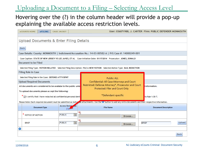Uploading a Document to a Filing – Selecting Access Level

## Hovering over the (?) in the column header will provide a pop-up explaining the available access restriction levels.

|   | eCOURTS HOME                     | eFILING              | <b>CASE JACKET</b>                                                                                                                                             |                            |  |  |                                                                                                               |  |  |  |  |  |  |  |  |              |  |  |  |  |  |  |                  |  |  |  |  |  |  |        |  | User: 036871988, J. CARTER Firm: PUBLIC DEFENDER MONMOUTH |  |  |              |  |                 |  |  |  |  |                             |  |  |      |        |  |
|---|----------------------------------|----------------------|----------------------------------------------------------------------------------------------------------------------------------------------------------------|----------------------------|--|--|---------------------------------------------------------------------------------------------------------------|--|--|--|--|--|--|--|--|--------------|--|--|--|--|--|--|------------------|--|--|--|--|--|--|--------|--|-----------------------------------------------------------|--|--|--------------|--|-----------------|--|--|--|--|-----------------------------|--|--|------|--------|--|
|   |                                  |                      |                                                                                                                                                                |                            |  |  |                                                                                                               |  |  |  |  |  |  |  |  |              |  |  |  |  |  |  |                  |  |  |  |  |  |  |        |  |                                                           |  |  |              |  |                 |  |  |  |  |                             |  |  |      |        |  |
|   |                                  |                      | Upload Documents & Enter Filing Details                                                                                                                        |                            |  |  |                                                                                                               |  |  |  |  |  |  |  |  |              |  |  |  |  |  |  |                  |  |  |  |  |  |  |        |  |                                                           |  |  |              |  |                 |  |  |  |  |                             |  |  |      |        |  |
|   |                                  |                      |                                                                                                                                                                |                            |  |  |                                                                                                               |  |  |  |  |  |  |  |  |              |  |  |  |  |  |  |                  |  |  |  |  |  |  |        |  |                                                           |  |  |              |  |                 |  |  |  |  |                             |  |  |      |        |  |
|   | <b>Back</b>                      |                      |                                                                                                                                                                |                            |  |  |                                                                                                               |  |  |  |  |  |  |  |  |              |  |  |  |  |  |  |                  |  |  |  |  |  |  |        |  |                                                           |  |  |              |  |                 |  |  |  |  |                             |  |  |      |        |  |
|   |                                  |                      | Case Details: County: MONMOUTH   Indictment/Accusation No.: 14-03-00582-A   P/G Case #: 14000249-001                                                           |                            |  |  |                                                                                                               |  |  |  |  |  |  |  |  |              |  |  |  |  |  |  |                  |  |  |  |  |  |  |        |  |                                                           |  |  |              |  |                 |  |  |  |  |                             |  |  |      |        |  |
|   |                                  |                      | Case Caption: STATE OF NEW JERSEY VS LEE JAMES, ET AL Case Initiation Date: 01/17/2014 Prosecutor: JONES, DONALD                                               |                            |  |  |                                                                                                               |  |  |  |  |  |  |  |  |              |  |  |  |  |  |  |                  |  |  |  |  |  |  |        |  |                                                           |  |  |              |  |                 |  |  |  |  |                             |  |  |      |        |  |
|   | <b>Document to be Filed</b>      |                      |                                                                                                                                                                |                            |  |  |                                                                                                               |  |  |  |  |  |  |  |  |              |  |  |  |  |  |  |                  |  |  |  |  |  |  |        |  |                                                           |  |  |              |  |                 |  |  |  |  |                             |  |  |      |        |  |
|   |                                  |                      | Selected Filing Type: MOTION RELATED Selected Filing Description: FILE A NEW MOTION Selected Motion Type: BAIL REDUCTION                                       |                            |  |  |                                                                                                               |  |  |  |  |  |  |  |  |              |  |  |  |  |  |  |                  |  |  |  |  |  |  |        |  |                                                           |  |  |              |  |                 |  |  |  |  |                             |  |  |      |        |  |
|   | <b>Filing Role in Case</b>       |                      |                                                                                                                                                                |                            |  |  |                                                                                                               |  |  |  |  |  |  |  |  |              |  |  |  |  |  |  |                  |  |  |  |  |  |  |        |  |                                                           |  |  |              |  |                 |  |  |  |  |                             |  |  |      |        |  |
|   |                                  |                      | Selected Filing Role in the Case: DEFENSE ATTY/DFNT                                                                                                            |                            |  |  |                                                                                                               |  |  |  |  |  |  |  |  |              |  |  |  |  |  |  |                  |  |  |  |  |  |  |        |  |                                                           |  |  |              |  |                 |  |  |  |  |                             |  |  |      |        |  |
|   | <b>Upload Required Documents</b> |                      |                                                                                                                                                                |                            |  |  | <b>Public: ALL</b><br><b>Confidential: All Case Attorneys and Court</b>                                       |  |  |  |  |  |  |  |  |              |  |  |  |  |  |  |                  |  |  |  |  |  |  |        |  |                                                           |  |  |              |  |                 |  |  |  |  |                             |  |  |      |        |  |
|   |                                  |                      | All documents are considered to be availabe to the public unle                                                                                                 |                            |  |  | Restricted: Defense Attorney*, Prosecutor and Court<br>Protected: Filer and Court Only<br>*Defendant-specific |  |  |  |  |  |  |  |  | information. |  |  |  |  |  |  |                  |  |  |  |  |  |  |        |  |                                                           |  |  |              |  |                 |  |  |  |  |                             |  |  |      |        |  |
|   |                                  |                      | To upload documents please accept the following:                                                                                                               |                            |  |  |                                                                                                               |  |  |  |  |  |  |  |  |              |  |  |  |  |  |  |                  |  |  |  |  |  |  |        |  |                                                           |  |  |              |  |                 |  |  |  |  |                             |  |  |      |        |  |
|   |                                  |                      |                                                                                                                                                                |                            |  |  |                                                                                                               |  |  |  |  |  |  |  |  |              |  |  |  |  |  |  |                  |  |  |  |  |  |  |        |  |                                                           |  |  |              |  |                 |  |  |  |  |                             |  |  |      |        |  |
|   |                                  |                      | * v   certify that I have redacted all confidential personal ident                                                                                             |                            |  |  |                                                                                                               |  |  |  |  |  |  |  |  |              |  |  |  |  |  |  |                  |  |  |  |  |  |  |        |  |                                                           |  |  |              |  | to Rule 1:38-7. |  |  |  |  |                             |  |  |      |        |  |
|   |                                  |                      | Please Note: Each required document must be submitted as individual attachments. Use the U button to add any extra documents and their respective information. |                            |  |  |                                                                                                               |  |  |  |  |  |  |  |  |              |  |  |  |  |  |  |                  |  |  |  |  |  |  |        |  |                                                           |  |  |              |  |                 |  |  |  |  |                             |  |  |      |        |  |
|   |                                  | <b>Document Type</b> |                                                                                                                                                                | Access Restriction<br>(?)2 |  |  |                                                                                                               |  |  |  |  |  |  |  |  |              |  |  |  |  |  |  | <b>File Name</b> |  |  |  |  |  |  |        |  |                                                           |  |  |              |  |                 |  |  |  |  | <b>Document Description</b> |  |  |      |        |  |
|   | * NOTICE OF MOTION               |                      | PUBLIC                                                                                                                                                         | $\overline{\mathbf{v}}$    |  |  |                                                                                                               |  |  |  |  |  |  |  |  |              |  |  |  |  |  |  |                  |  |  |  |  |  |  |        |  |                                                           |  |  |              |  |                 |  |  |  |  |                             |  |  |      |        |  |
|   |                                  |                      |                                                                                                                                                                |                            |  |  |                                                                                                               |  |  |  |  |  |  |  |  |              |  |  |  |  |  |  |                  |  |  |  |  |  |  | Browse |  |                                                           |  |  |              |  |                 |  |  |  |  |                             |  |  |      |        |  |
|   | <b>BRIEF</b>                     |                      | <b>PUBLIC</b>                                                                                                                                                  | $\checkmark$               |  |  |                                                                                                               |  |  |  |  |  |  |  |  |              |  |  |  |  |  |  |                  |  |  |  |  |  |  |        |  |                                                           |  |  | <b>BRIEF</b> |  |                 |  |  |  |  |                             |  |  |      | Upload |  |
|   |                                  |                      |                                                                                                                                                                |                            |  |  |                                                                                                               |  |  |  |  |  |  |  |  |              |  |  |  |  |  |  |                  |  |  |  |  |  |  | Browse |  |                                                           |  |  |              |  |                 |  |  |  |  |                             |  |  |      |        |  |
| € |                                  |                      |                                                                                                                                                                |                            |  |  |                                                                                                               |  |  |  |  |  |  |  |  |              |  |  |  |  |  |  |                  |  |  |  |  |  |  |        |  |                                                           |  |  |              |  |                 |  |  |  |  |                             |  |  |      |        |  |
|   |                                  |                      |                                                                                                                                                                |                            |  |  |                                                                                                               |  |  |  |  |  |  |  |  |              |  |  |  |  |  |  |                  |  |  |  |  |  |  |        |  |                                                           |  |  |              |  |                 |  |  |  |  |                             |  |  | Back |        |  |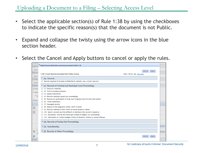Uploading a Document to a Filing – Selecting Access Level

- Select the applicable section(s) of Rule 1:38 by using the checkboxes to indicate the specific reason(s) that the document is not Public.
- Expand and collapse the twisty using the arrow icons in the blue section header.
- Select the Cancel and Apply buttons to cancel or apply the rules.

| Case D             | Select Access Restriction reason(s) pursuant to Rule 1:38                                                                                          |       |
|--------------------|----------------------------------------------------------------------------------------------------------------------------------------------------|-------|
| Case O             | Cancel<br>Apply                                                                                                                                    |       |
| Docum              | 1:38-3 Court Records Excluded from Public Access.<br>Rule 1:38 et. seq Click here                                                                  |       |
| Selecti            |                                                                                                                                                    |       |
| <b>Filing</b>      | Þ<br>(a) General.                                                                                                                                  |       |
| Selecti            | Records required to be kept confidential by statute, rule, or prior case law.                                                                      |       |
| Upload             | (c) Records of Criminal and Municipal Court Proceedings.                                                                                           |       |
| All doct           | Discovery materials<br>(1)                                                                                                                         |       |
| To upic            | Writs to produce prisoners<br>(2)                                                                                                                  |       |
| $\star$ $_{\odot}$ | Sealed Indictments<br>(3)                                                                                                                          |       |
|                    | (4) Records relating to grand jury proceedings                                                                                                     |       |
| Please             | Records for participants in Drug Court Programs and Pre-trial Intervention<br>(5)                                                                  |       |
|                    | Victim statements<br>(6)                                                                                                                           |       |
|                    | <b>Expunged records</b>                                                                                                                            |       |
| <b>W</b>           | Reports of the Diagnostic Center (ADTC/Avenel)<br>(8)                                                                                              |       |
|                    | Records relating to child victims of sexual assault or abuse<br>(9)<br>(10) Search warrants and the affidavit or testimony the warrant is based on |       |
| W                  | (11) Documents, records and transcripts related to Megans Law proceedings                                                                          |       |
|                    | (12) Information on victims/alleged victims of domestic violence or sexual offenses                                                                |       |
|                    |                                                                                                                                                    |       |
|                    | (d) Records of Family Part Proceedings.                                                                                                            |       |
|                    | (e) Guardianship.                                                                                                                                  | pload |
| Ŵ                  | (f) Records of Other Proceedings.                                                                                                                  | bload |
| E                  |                                                                                                                                                    |       |
| $\bullet$          | Apply<br>Cancel                                                                                                                                    |       |
| <b>Enter</b>       |                                                                                                                                                    |       |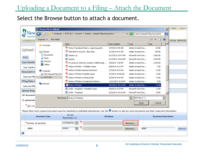# Uploading a Document to a Filing – Attach the Document

#### Select the Browse button to attach a document.

|                       | Choose File to Upload                |                                          |                                                                                                                                                                        |                    |        |                    |                                | $\vert x \vert$  | <b>Help</b><br>Logout |
|-----------------------|--------------------------------------|------------------------------------------|------------------------------------------------------------------------------------------------------------------------------------------------------------------------|--------------------|--------|--------------------|--------------------------------|------------------|-----------------------|
| Jew                   |                                      |                                          | - Computer - ATCS (S:) - eCourts - Testing - Sample Filing Documents -                                                                                                 |                    | $-21$  |                    | Search Sample Filing Documents | $\bullet$        |                       |
| <b>eCOURTS H</b>      | New folder<br>Organize $\rightarrow$ |                                          |                                                                                                                                                                        |                    |        |                    | 脏<br>$\blacksquare$            | $\circledcirc$   | <b>LEGAL SERVICES</b> |
|                       | <b>X</b> Favorites                   | Name <sup>A</sup>                        |                                                                                                                                                                        | Date modified      | Type   |                    | <b>Size</b>                    | $\blacktriangle$ |                       |
|                       |                                      |                                          | 7. Facts, Procedural History, Legal Argument                                                                                                                           | 3/7/2014 9:39 AM   |        | Adobe Acrobat Doc  | 82 KB                          |                  |                       |
| Upload                | Libraries                            |                                          | TA Filed Brief in eCourts - Blue Strip                                                                                                                                 | 3/7/2014 9:47 AM   |        | Adobe Acrobat Doc  | 340 KB                         |                  |                       |
| <b>Back</b>           | ÷,<br>Documents                      | od mackey (1)                            |                                                                                                                                                                        | 6/17/2015 10:47 AM |        | Microsoft Word Doc | 3,962 KB                       |                  |                       |
|                       | Music                                | mackey                                   |                                                                                                                                                                        | 6/17/2015 10:06 AM |        | Microsoft Word Doc | 3,962 KB                       |                  |                       |
| <b>Case Details</b>   | Pictures<br><b>M</b> Videos          |                                          | NJ eCourts Attorney System Walkthrough                                                                                                                                 | 4/9/2014 1:36 PM   |        | Adobe Acrobat Doc  | 2,429 KB                       |                  |                       |
| <b>Case Caption</b>   |                                      |                                          | Notice of Motion - Probable Cause                                                                                                                                      | 9/8/2014 2:31 PM   |        | Adobe Acrobat Doc  | 7 <sub>KB</sub>                |                  |                       |
| Document to           | Computer                             |                                          | 7. Notice of Motion Dismiss Indictment                                                                                                                                 | 3/7/2014 9:54 AM   |        | Adobe Acrobat Doc  | 31 KB                          |                  |                       |
|                       | AOC Shared Files (M:)                |                                          | Notice of Motion Probable Cause                                                                                                                                        | 3/7/2014 10:08 AM  |        | Adobe Acrobat Doc  | 41 <sub>KB</sub>               |                  |                       |
| Selected Filir        | $\Box$ ATCS (S:)                     |                                          | A Notice of Motion to Reduce Bail                                                                                                                                      | 3/7/2014 9:16 AM   |        | Adobe Acrobat Doc  | <b>71 KB</b>                   |                  |                       |
| <b>Filing Role in</b> | <b>C</b> u Network                   |                                          | X Notice of Motion to Suppress Evidence                                                                                                                                | 11/21/2013 4:35 PM |        | Adobe Acrobat Doc  | 8 KB                           |                  |                       |
| <b>Selected Filir</b> |                                      | Notice of Motion                         |                                                                                                                                                                        | 5/22/2014 10:14 AM |        | Adobe Acrobat Doc  | 31 KB                          |                  |                       |
| <b>Upload Requ</b>    |                                      |                                          | ■ Order - Proposed - Probable Cause                                                                                                                                    | 9/8/2014 3:27 PM   |        | Microsoft Word Doc | 21 KB                          |                  |                       |
| All document          |                                      | <sup>面</sup> Order - Proposed            |                                                                                                                                                                        | 5/22/2014 10:16 AM |        | Microsoft Word Doc | 25 KB                          |                  |                       |
|                       |                                      | File name: Notice of Motion              |                                                                                                                                                                        |                    |        | All Files (*.*)    |                                |                  |                       |
| To upload doc         |                                      |                                          |                                                                                                                                                                        |                    |        |                    |                                |                  |                       |
| <sup>*</sup> ⊽l ceri  |                                      |                                          |                                                                                                                                                                        |                    |        | Open               | Cancel                         |                  |                       |
|                       |                                      |                                          | Please Note: Each required document must be submitted as individual attachments. Use the $\bullet$ button to add any extra documents and their respective information. |                    |        |                    |                                |                  |                       |
|                       |                                      | Access                                   |                                                                                                                                                                        |                    |        |                    |                                |                  |                       |
|                       | <b>Document Type</b>                 | Restriction (?):                         |                                                                                                                                                                        | <b>File Name</b>   |        |                    | <b>Document Description</b>    |                  |                       |
|                       | * NOTICE OF MOTION                   | CONFIDENTIAL V                           | 区                                                                                                                                                                      |                    | Browse |                    |                                |                  |                       |
| <b>BRIEF</b>          |                                      | <b>PUBLIC</b><br>$\overline{\mathsf{v}}$ | 뭿                                                                                                                                                                      |                    | Browse | <b>BRIEF</b>       |                                |                  | Upload                |
| O                     |                                      |                                          |                                                                                                                                                                        |                    |        |                    |                                |                  |                       |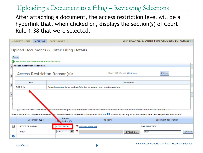Uploading a Document to a Filing – Reviewing Selections

After attaching a document, the access restriction level will be a hyperlink that, when clicked on, displays the section(s) of Court Rule 1:38 that were selected.

|                      | <b>eCOURTS HOME</b>                      | <b>eFILING</b> | <b>CASE JACKET</b>                |              |                                                                                                                                                                        |             |                       | User: 036871988, J. CARTER Firm: PUBLIC DEFENDER MONMOUTH |        |
|----------------------|------------------------------------------|----------------|-----------------------------------|--------------|------------------------------------------------------------------------------------------------------------------------------------------------------------------------|-------------|-----------------------|-----------------------------------------------------------|--------|
|                      | Upload Documents & Enter Filing Details  |                |                                   |              |                                                                                                                                                                        |             |                       |                                                           |        |
| <b>Back</b>          |                                          |                |                                   |              |                                                                                                                                                                        |             |                       |                                                           |        |
| $\blacktriangledown$ | Document has been uploaded successfully. |                |                                   |              |                                                                                                                                                                        |             |                       |                                                           |        |
|                      | <b>Access Restriction Reason(s):</b>     |                |                                   |              |                                                                                                                                                                        |             |                       |                                                           |        |
|                      |                                          |                |                                   |              |                                                                                                                                                                        |             |                       |                                                           |        |
|                      | Access Restriction Reason(s):            |                |                                   |              | Rule 1:38 et. seq Click here                                                                                                                                           |             |                       | Close                                                     |        |
| п                    |                                          |                |                                   |              |                                                                                                                                                                        |             |                       |                                                           |        |
|                      | Rule                                     |                |                                   |              |                                                                                                                                                                        | Description |                       |                                                           |        |
| F                    | $1:38-3$ (a)                             |                |                                   |              | Records required to be kept confidential by statute, rule, or prior case law.                                                                                          |             |                       |                                                           |        |
|                      |                                          |                |                                   |              |                                                                                                                                                                        |             |                       |                                                           |        |
|                      |                                          |                |                                   |              |                                                                                                                                                                        |             |                       |                                                           |        |
|                      |                                          |                |                                   |              |                                                                                                                                                                        |             |                       |                                                           |        |
|                      |                                          |                |                                   |              |                                                                                                                                                                        |             |                       |                                                           |        |
|                      |                                          |                |                                   |              |                                                                                                                                                                        |             |                       |                                                           |        |
|                      |                                          |                |                                   |              | VIT certify that I have redact to all connuential personal identifiers from all documents included in this electronic submission pursuant to Kule 1:56-7.              |             |                       |                                                           |        |
|                      |                                          |                |                                   |              | Please Note: Each required document must be submitted as individual attachments. Use the $\bullet$ button to add any extra documents and their respective information. |             |                       |                                                           |        |
|                      | <b>Document Type</b>                     |                | <b>Access</b><br>Restriction (?): |              | <b>File Name</b>                                                                                                                                                       |             |                       | <b>Document Description</b>                               |        |
| <b>Will</b>          | NOTICE OF MOTION                         |                | <b>CONFIDENTIAL</b>               |              | Motice of Motion.pdf                                                                                                                                                   |             | <b>BAIL REDUCTION</b> |                                                           |        |
|                      | <b>BRIEF</b>                             |                | <b>PUBLIC</b>                     | $\checkmark$ | $\overline{\lambda}$                                                                                                                                                   | Browse      | <b>BRIEF</b>          |                                                           | Upload |
| O                    |                                          |                |                                   |              |                                                                                                                                                                        |             |                       |                                                           |        |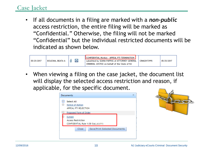# Case Jacket

• If all documents in a filing are marked with a *non-public*  access restriction, the entire filing will be marked as "Confidential." Otherwise, the filing will not be marked "Confidential" but the individual restricted documents will be indicated as shown below.



• When viewing a filing on the case jacket, the document list will display the selected access restriction and reason, if applicable, for the specific document.